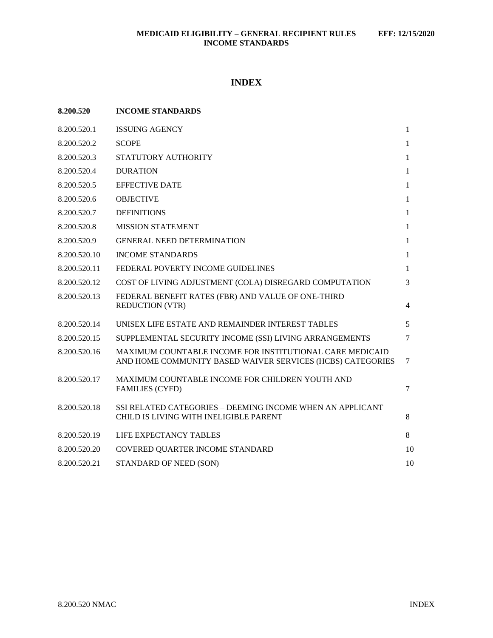# **INDEX**

| 8.200.520    | <b>INCOME STANDARDS</b>                                                                                                |              |
|--------------|------------------------------------------------------------------------------------------------------------------------|--------------|
| 8.200.520.1  | <b>ISSUING AGENCY</b>                                                                                                  | $\mathbf{1}$ |
| 8.200.520.2  | <b>SCOPE</b>                                                                                                           | $\mathbf{1}$ |
| 8.200.520.3  | STATUTORY AUTHORITY                                                                                                    | $\mathbf{1}$ |
| 8.200.520.4  | <b>DURATION</b>                                                                                                        | $\mathbf{1}$ |
| 8.200.520.5  | <b>EFFECTIVE DATE</b>                                                                                                  | $\mathbf{1}$ |
| 8.200.520.6  | <b>OBJECTIVE</b>                                                                                                       | 1            |
| 8.200.520.7  | <b>DEFINITIONS</b>                                                                                                     | $\mathbf{1}$ |
| 8.200.520.8  | <b>MISSION STATEMENT</b>                                                                                               | $\mathbf{1}$ |
| 8.200.520.9  | <b>GENERAL NEED DETERMINATION</b>                                                                                      | $\mathbf{1}$ |
| 8.200.520.10 | <b>INCOME STANDARDS</b>                                                                                                | 1            |
| 8.200.520.11 | FEDERAL POVERTY INCOME GUIDELINES                                                                                      | 1            |
| 8.200.520.12 | COST OF LIVING ADJUSTMENT (COLA) DISREGARD COMPUTATION                                                                 | 3            |
| 8.200.520.13 | FEDERAL BENEFIT RATES (FBR) AND VALUE OF ONE-THIRD<br><b>REDUCTION (VTR)</b>                                           | 4            |
| 8.200.520.14 | UNISEX LIFE ESTATE AND REMAINDER INTEREST TABLES                                                                       | 5            |
| 8.200.520.15 | SUPPLEMENTAL SECURITY INCOME (SSI) LIVING ARRANGEMENTS                                                                 | $\tau$       |
| 8.200.520.16 | MAXIMUM COUNTABLE INCOME FOR INSTITUTIONAL CARE MEDICAID<br>AND HOME COMMUNITY BASED WAIVER SERVICES (HCBS) CATEGORIES | $\tau$       |
| 8.200.520.17 | MAXIMUM COUNTABLE INCOME FOR CHILDREN YOUTH AND<br><b>FAMILIES (CYFD)</b>                                              | 7            |
| 8.200.520.18 | SSI RELATED CATEGORIES - DEEMING INCOME WHEN AN APPLICANT<br>CHILD IS LIVING WITH INELIGIBLE PARENT                    | 8            |
| 8.200.520.19 | <b>LIFE EXPECTANCY TABLES</b>                                                                                          | 8            |
| 8.200.520.20 | COVERED QUARTER INCOME STANDARD                                                                                        | 10           |
| 8.200.520.21 | STANDARD OF NEED (SON)                                                                                                 | 10           |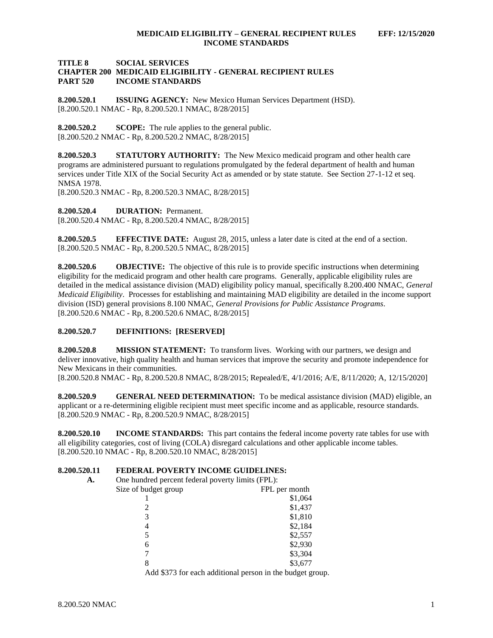### **TITLE 8 SOCIAL SERVICES CHAPTER 200 MEDICAID ELIGIBILITY - GENERAL RECIPIENT RULES PART 520 INCOME STANDARDS**

<span id="page-1-0"></span>**8.200.520.1 ISSUING AGENCY:** New Mexico Human Services Department (HSD). [8.200.520.1 NMAC - Rp, 8.200.520.1 NMAC, 8/28/2015]

<span id="page-1-1"></span>**8.200.520.2 SCOPE:** The rule applies to the general public. [8.200.520.2 NMAC - Rp, 8.200.520.2 NMAC, 8/28/2015]

<span id="page-1-2"></span>**8.200.520.3 STATUTORY AUTHORITY:** The New Mexico medicaid program and other health care programs are administered pursuant to regulations promulgated by the federal department of health and human services under Title XIX of the Social Security Act as amended or by state statute. See Section 27-1-12 et seq. NMSA 1978.

[8.200.520.3 NMAC - Rp, 8.200.520.3 NMAC, 8/28/2015]

<span id="page-1-3"></span>**8.200.520.4 DURATION:** Permanent. [8.200.520.4 NMAC - Rp, 8.200.520.4 NMAC, 8/28/2015]

<span id="page-1-4"></span>**8.200.520.5 EFFECTIVE DATE:** August 28, 2015, unless a later date is cited at the end of a section. [8.200.520.5 NMAC - Rp, 8.200.520.5 NMAC, 8/28/2015]

<span id="page-1-5"></span>**8.200.520.6 OBJECTIVE:** The objective of this rule is to provide specific instructions when determining eligibility for the medicaid program and other health care programs. Generally, applicable eligibility rules are detailed in the medical assistance division (MAD) eligibility policy manual, specifically 8.200.400 NMAC, *General Medicaid Eligibility*. Processes for establishing and maintaining MAD eligibility are detailed in the income support division (ISD) general provisions 8.100 NMAC, *General Provisions for Public Assistance Programs*. [8.200.520.6 NMAC - Rp, 8.200.520.6 NMAC, 8/28/2015]

# <span id="page-1-6"></span>**8.200.520.7 DEFINITIONS: [RESERVED]**

<span id="page-1-7"></span>**8.200.520.8 MISSION STATEMENT:** To transform lives. Working with our partners, we design and deliver innovative, high quality health and human services that improve the security and promote independence for New Mexicans in their communities.

[8.200.520.8 NMAC - Rp, 8.200.520.8 NMAC, 8/28/2015; Repealed/E, 4/1/2016; A/E, 8/11/2020; A, 12/15/2020]

<span id="page-1-8"></span>**8.200.520.9 GENERAL NEED DETERMINATION:** To be medical assistance division (MAD) eligible, an applicant or a re-determining eligible recipient must meet specific income and as applicable, resource standards. [8.200.520.9 NMAC - Rp, 8.200.520.9 NMAC, 8/28/2015]

<span id="page-1-9"></span>**8.200.520.10 INCOME STANDARDS:** This part contains the federal income poverty rate tables for use with all eligibility categories, cost of living (COLA) disregard calculations and other applicable income tables. [8.200.520.10 NMAC - Rp, 8.200.520.10 NMAC, 8/28/2015]

# <span id="page-1-10"></span>**8.200.520.11 FEDERAL POVERTY INCOME GUIDELINES:**

**A.** One hundred percent federal poverty limits (FPL):

| $\sigma$ one handled percent reactal poverty million (1.1 $\mu$ ). |                                                           |
|--------------------------------------------------------------------|-----------------------------------------------------------|
| Size of budget group                                               | FPL per month                                             |
|                                                                    | \$1,064                                                   |
|                                                                    | \$1,437                                                   |
| 3                                                                  | \$1,810                                                   |
| 4                                                                  | \$2,184                                                   |
| 5                                                                  | \$2,557                                                   |
| 6                                                                  | \$2,930                                                   |
|                                                                    | \$3,304                                                   |
| 8                                                                  | \$3,677                                                   |
|                                                                    | Add \$373 for each additional person in the budget group. |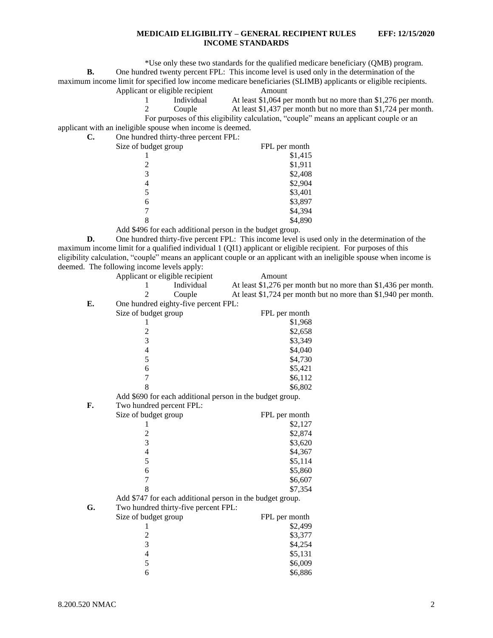\*Use only these two standards for the qualified medicare beneficiary (QMB) program. **B.** One hundred twenty percent FPL: This income level is used only in the determination of the maximum income limit for specified low income medicare beneficiaries (SLIMB) applicants or eligible recipients. Applicant or eligible recipient Amount

- 1 Individual At least \$1,064 per month but no more than \$1,276 per month. 2 Couple At least \$1,437 per month but no more than \$1,724 per month.
- For purposes of this eligibility calculation, "couple" means an applicant couple or an

applicant with an ineligible spouse when income is deemed.<br>  $\overline{G}$  One hypothed thinty three persont EPL:

| $\mathbf{C}$ . | One hundred thirty-three percent FPL: |               |
|----------------|---------------------------------------|---------------|
|                | Size of budget group                  | FPL per month |
|                |                                       | \$1,415       |
|                |                                       | \$1,911       |
|                | 3                                     | \$2,408       |
|                | 4                                     | \$2,904       |
|                |                                       | \$3,401       |
|                | 6                                     | \$3,897       |
|                |                                       | \$4,394       |
|                |                                       | \$4,890       |
|                |                                       |               |

Add \$496 for each additional person in the budget group.

**D.** One hundred thirty-five percent FPL: This income level is used only in the determination of the maximum income limit for a qualified individual 1 (QI1) applicant or eligible recipient. For purposes of this eligibility calculation, "couple" means an applicant couple or an applicant with an ineligible spouse when income is deemed. The following income levels apply:

|    | Applicant or eligible recipient      | Amount                                                         |
|----|--------------------------------------|----------------------------------------------------------------|
|    | Individual<br>1                      | At least \$1,276 per month but no more than \$1,436 per month. |
|    | $\overline{2}$<br>Couple             | At least \$1,724 per month but no more than \$1,940 per month. |
| E. | One hundred eighty-five percent FPL: |                                                                |
|    | Size of budget group                 | FPL per month                                                  |
|    | 1                                    | \$1,968                                                        |
|    | $\overline{\mathbf{c}}$              | \$2,658                                                        |
|    | $\overline{3}$                       | \$3,349                                                        |
|    | $\overline{\mathcal{L}}$             | \$4,040                                                        |
|    | 5                                    | \$4,730                                                        |
|    | 6                                    | \$5,421                                                        |
|    | $\overline{7}$                       | \$6,112                                                        |
|    | 8                                    | \$6,802                                                        |
|    |                                      | Add \$690 for each additional person in the budget group.      |
| F. | Two hundred percent FPL:             |                                                                |
|    | Size of budget group                 | FPL per month                                                  |
|    | 1                                    | \$2,127                                                        |
|    | $\overline{c}$                       | \$2,874                                                        |
|    | 3                                    | \$3,620                                                        |
|    | 4                                    | \$4,367                                                        |
|    | 5                                    | \$5,114                                                        |
|    | 6                                    | \$5,860                                                        |
|    | 7                                    | \$6,607                                                        |
|    | 8                                    | \$7,354                                                        |
|    |                                      | Add \$747 for each additional person in the budget group.      |
| G. | Two hundred thirty-five percent FPL: |                                                                |
|    | Size of budget group                 | FPL per month                                                  |
|    | 1                                    | \$2,499                                                        |
|    | $\frac{2}{3}$                        | \$3,377                                                        |
|    |                                      | \$4,254                                                        |
|    | $\overline{\mathcal{L}}$             | \$5,131                                                        |
|    | 5                                    | \$6,009                                                        |
|    | 6                                    | \$6,886                                                        |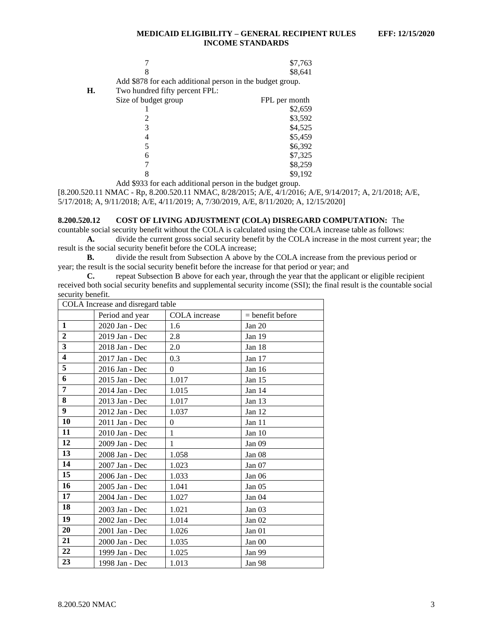|    |                                                           | \$7,763       |
|----|-----------------------------------------------------------|---------------|
|    |                                                           | \$8,641       |
|    | Add \$878 for each additional person in the budget group. |               |
| Н. | Two hundred fifty percent FPL:                            |               |
|    | Size of budget group                                      | FPL per month |
|    |                                                           | \$2,659       |
|    |                                                           | \$3,592       |
|    | 3                                                         | \$4,525       |
|    |                                                           | \$5,459       |
|    | 5                                                         | \$6,392       |
|    | 6                                                         | \$7,325       |
|    |                                                           | \$8,259       |
|    |                                                           | \$9.192       |

Add \$933 for each additional person in the budget group.

[8.200.520.11 NMAC - Rp, 8.200.520.11 NMAC, 8/28/2015; A/E, 4/1/2016; A/E, 9/14/2017; A, 2/1/2018; A/E, 5/17/2018; A, 9/11/2018; A/E, 4/11/2019; A, 7/30/2019, A/E, 8/11/2020; A, 12/15/2020]

### <span id="page-3-0"></span>**8.200.520.12 COST OF LIVING ADJUSTMENT (COLA) DISREGARD COMPUTATION:** The

countable social security benefit without the COLA is calculated using the COLA increase table as follows: **A.** divide the current gross social security benefit by the COLA increase in the most current year; the

result is the social security benefit before the COLA increase;

**B.** divide the result from Subsection A above by the COLA increase from the previous period or year; the result is the social security benefit before the increase for that period or year; and <br> **C.** repeat Subsection B above for each year, through the year that the application

repeat Subsection B above for each year, through the year that the applicant or eligible recipient received both social security benefits and supplemental security income (SSI); the final result is the countable social security benefit.

| COLA Increase and disregard table |                 |               |                    |  |  |  |
|-----------------------------------|-----------------|---------------|--------------------|--|--|--|
|                                   | Period and year | COLA increase | $=$ benefit before |  |  |  |
| $\mathbf{1}$                      | 2020 Jan - Dec  | 1.6           | Jan $20$           |  |  |  |
| $\overline{2}$                    | 2019 Jan - Dec  | 2.8           | Jan 19             |  |  |  |
| 3                                 | 2018 Jan - Dec  | 2.0           | Jan 18             |  |  |  |
| $\overline{\mathbf{4}}$           | 2017 Jan - Dec  | 0.3           | Jan 17             |  |  |  |
| 5                                 | 2016 Jan - Dec  | $\theta$      | Jan $16$           |  |  |  |
| 6                                 | 2015 Jan - Dec  | 1.017         | Jan $15$           |  |  |  |
| 7                                 | 2014 Jan - Dec  | 1.015         | Jan 14             |  |  |  |
| 8                                 | 2013 Jan - Dec  | 1.017         | Jan 13             |  |  |  |
| 9                                 | 2012 Jan - Dec  | 1.037         | Jan 12             |  |  |  |
| 10                                | 2011 Jan - Dec  | $\theta$      | Jan $11$           |  |  |  |
| 11                                | 2010 Jan - Dec  | $\mathbf{1}$  | Jan 10             |  |  |  |
| 12                                | 2009 Jan - Dec  | $\mathbf{1}$  | Jan 09             |  |  |  |
| 13                                | 2008 Jan - Dec  | 1.058         | Jan 08             |  |  |  |
| 14                                | 2007 Jan - Dec  | 1.023         | Jan 07             |  |  |  |
| 15                                | 2006 Jan - Dec  | 1.033         | Jan 06             |  |  |  |
| 16                                | 2005 Jan - Dec  | 1.041         | Jan 05             |  |  |  |
| 17                                | 2004 Jan - Dec  | 1.027         | Jan 04             |  |  |  |
| 18                                | 2003 Jan - Dec  | 1.021         | Jan 03             |  |  |  |
| 19                                | 2002 Jan - Dec  | 1.014         | Jan $02$           |  |  |  |
| 20                                | 2001 Jan - Dec  | 1.026         | Jan <sub>01</sub>  |  |  |  |
| 21                                | 2000 Jan - Dec  | 1.035         | Jan 00             |  |  |  |
| 22                                | 1999 Jan - Dec  | 1.025         | <b>Jan 99</b>      |  |  |  |
| 23                                | 1998 Jan - Dec  | 1.013         | Jan 98             |  |  |  |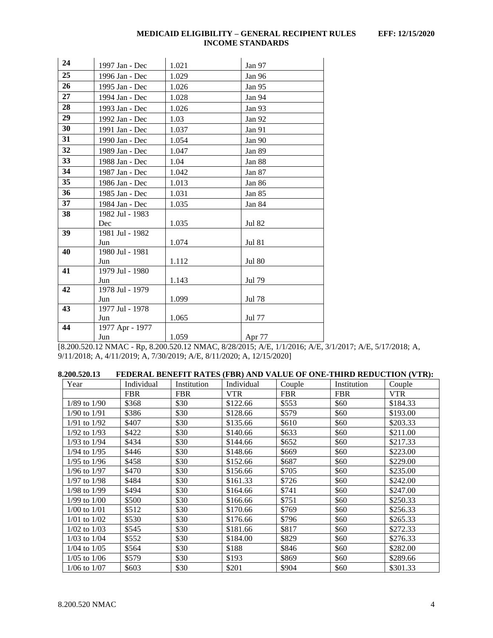| 24 | 1997 Jan - Dec  | 1.021 | Jan 97        |
|----|-----------------|-------|---------------|
| 25 | 1996 Jan - Dec  | 1.029 | Jan 96        |
| 26 | 1995 Jan - Dec  | 1.026 | Jan 95        |
| 27 | 1994 Jan - Dec  | 1.028 | Jan 94        |
| 28 | 1993 Jan - Dec  | 1.026 | Jan 93        |
| 29 | 1992 Jan - Dec  | 1.03  | Jan 92        |
| 30 | 1991 Jan - Dec  | 1.037 | Jan 91        |
| 31 | 1990 Jan - Dec  | 1.054 | Jan 90        |
| 32 | 1989 Jan - Dec  | 1.047 | Jan 89        |
| 33 | 1988 Jan - Dec  | 1.04  | Jan 88        |
| 34 | 1987 Jan - Dec  | 1.042 | Jan 87        |
| 35 | 1986 Jan - Dec  | 1.013 | Jan 86        |
| 36 | 1985 Jan - Dec  | 1.031 | Jan 85        |
| 37 | 1984 Jan - Dec  | 1.035 | Jan 84        |
| 38 | 1982 Jul - 1983 |       |               |
|    | Dec             | 1.035 | <b>Jul 82</b> |
| 39 | 1981 Jul - 1982 |       |               |
|    | Jun             | 1.074 | <b>Jul 81</b> |
| 40 | 1980 Jul - 1981 |       |               |
|    | Jun             | 1.112 | <b>Jul 80</b> |
| 41 | 1979 Jul - 1980 |       |               |
|    | Jun             | 1.143 | <b>Jul 79</b> |
| 42 | 1978 Jul - 1979 |       |               |
|    | Jun             | 1.099 | Jul 78        |
| 43 | 1977 Jul - 1978 |       |               |
|    | Jun             | 1.065 | Jul 77        |
| 44 | 1977 Apr - 1977 |       |               |
|    | Jun             | 1.059 | Apr 77        |

[8.200.520.12 NMAC - Rp, 8.200.520.12 NMAC, 8/28/2015; A/E, 1/1/2016; A/E, 3/1/2017; A/E, 5/17/2018; A, 9/11/2018; A, 4/11/2019; A, 7/30/2019; A/E, 8/11/2020; A, 12/15/2020]

<span id="page-4-0"></span>

| 8.200.520.13 | FEDERAL BENEFIT RATES (FBR) AND VALUE OF ONE-THIRD REDUCTION (VTR): |  |  |  |  |  |
|--------------|---------------------------------------------------------------------|--|--|--|--|--|
|              |                                                                     |  |  |  |  |  |

| Year             | Individual | Institution | Individual | Couple     | Institution | Couple     |
|------------------|------------|-------------|------------|------------|-------------|------------|
|                  | <b>FBR</b> | <b>FBR</b>  | <b>VTR</b> | <b>FBR</b> | <b>FBR</b>  | <b>VTR</b> |
| $1/89$ to $1/90$ | \$368      | \$30        | \$122.66   | \$553      | \$60        | \$184.33   |
| $1/90$ to $1/91$ | \$386      | \$30        | \$128.66   | \$579      | \$60        | \$193.00   |
| $1/91$ to $1/92$ | \$407      | \$30        | \$135.66   | \$610      | \$60        | \$203.33   |
| $1/92$ to $1/93$ | \$422      | \$30        | \$140.66   | \$633      | \$60        | \$211.00   |
| 1/93 to 1/94     | \$434      | \$30        | \$144.66   | \$652      | \$60        | \$217.33   |
| 1/94 to 1/95     | \$446      | \$30        | \$148.66   | \$669      | \$60        | \$223.00   |
| 1/95 to 1/96     | \$458      | \$30        | \$152.66   | \$687      | \$60        | \$229.00   |
| $1/96$ to $1/97$ | \$470      | \$30        | \$156.66   | \$705      | \$60        | \$235.00   |
| $1/97$ to $1/98$ | \$484      | \$30        | \$161.33   | \$726      | \$60        | \$242.00   |
| 1/98 to 1/99     | \$494      | \$30        | \$164.66   | \$741      | \$60        | \$247.00   |
| $1/99$ to $1/00$ | \$500      | \$30        | \$166.66   | \$751      | \$60        | \$250.33   |
| $1/00$ to $1/01$ | \$512      | \$30        | \$170.66   | \$769      | \$60        | \$256.33   |
| $1/01$ to $1/02$ | \$530      | \$30        | \$176.66   | \$796      | \$60        | \$265.33   |
| $1/02$ to $1/03$ | \$545      | \$30        | \$181.66   | \$817      | \$60        | \$272.33   |
| $1/03$ to $1/04$ | \$552      | \$30        | \$184.00   | \$829      | \$60        | \$276.33   |
| $1/04$ to $1/05$ | \$564      | \$30        | \$188      | \$846      | \$60        | \$282.00   |
| $1/05$ to $1/06$ | \$579      | \$30        | \$193      | \$869      | \$60        | \$289.66   |
| $1/06$ to $1/07$ | \$603      | \$30        | \$201      | \$904      | \$60        | \$301.33   |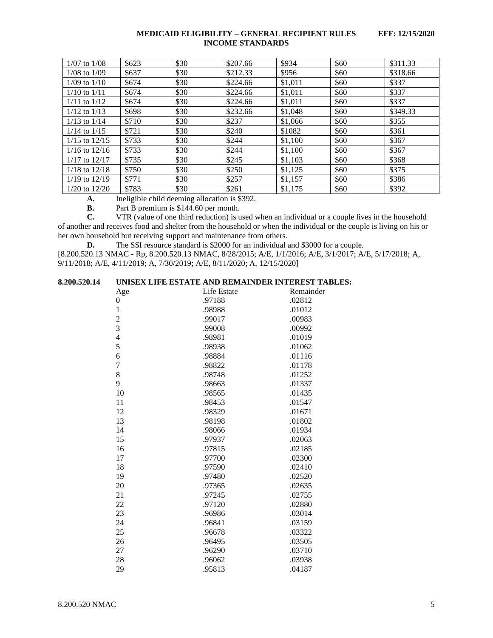| $1/07$ to $1/08$  | \$623 | \$30 | \$207.66 | \$934   | \$60 | \$311.33 |
|-------------------|-------|------|----------|---------|------|----------|
| $1/08$ to $1/09$  | \$637 | \$30 | \$212.33 | \$956   | \$60 | \$318.66 |
| $1/09$ to $1/10$  | \$674 | \$30 | \$224.66 | \$1,011 | \$60 | \$337    |
| $1/10$ to $1/11$  | \$674 | \$30 | \$224.66 | \$1,011 | \$60 | \$337    |
| $1/11$ to $1/12$  | \$674 | \$30 | \$224.66 | \$1,011 | \$60 | \$337    |
| $1/12$ to $1/13$  | \$698 | \$30 | \$232.66 | \$1,048 | \$60 | \$349.33 |
| $1/13$ to $1/14$  | \$710 | \$30 | \$237    | \$1,066 | \$60 | \$355    |
| $1/14$ to $1/15$  | \$721 | \$30 | \$240    | \$1082  | \$60 | \$361    |
| $1/15$ to $12/15$ | \$733 | \$30 | \$244    | \$1.100 | \$60 | \$367    |
| $1/16$ to $12/16$ | \$733 | \$30 | \$244    | \$1,100 | \$60 | \$367    |
| $1/17$ to $12/17$ | \$735 | \$30 | \$245    | \$1,103 | \$60 | \$368    |
| $1/18$ to $12/18$ | \$750 | \$30 | \$250    | \$1,125 | \$60 | \$375    |
| $1/19$ to $12/19$ | \$771 | \$30 | \$257    | \$1.157 | \$60 | \$386    |
| $1/20$ to $12/20$ | \$783 | \$30 | \$261    | \$1.175 | \$60 | \$392    |

**A.** Ineligible child deeming allocation is \$392.

**B.** Part B premium is \$144.60 per month.<br>**C.** VTR (value of one third reduction) is u

**C.** VTR (value of one third reduction) is used when an individual or a couple lives in the household of another and receives food and shelter from the household or when the individual or the couple is living on his or her own household but receiving support and maintenance from others.

**D.** The SSI resource standard is \$2000 for an individual and \$3000 for a couple.

[8.200.520.13 NMAC - Rp, 8.200.520.13 NMAC, 8/28/2015; A/E, 1/1/2016; A/E, 3/1/2017; A/E, 5/17/2018; A, 9/11/2018; A/E, 4/11/2019; A, 7/30/2019; A/E, 8/11/2020; A, 12/15/2020]

# <span id="page-5-0"></span>**8.200.520.14 UNISEX LIFE ESTATE AND REMAINDER INTEREST TABLES:**

| Age            | Life Estate | Remainder |
|----------------|-------------|-----------|
| 0              | .97188      | .02812    |
| $\mathbf 1$    | .98988      | .01012    |
| $\frac{2}{3}$  | .99017      | .00983    |
|                | .99008      | .00992    |
| $\overline{4}$ | .98981      | .01019    |
| 5              | .98938      | .01062    |
| 6              | .98884      | .01116    |
| $\overline{7}$ | .98822      | .01178    |
| 8              | .98748      | .01252    |
| 9              | .98663      | .01337    |
| 10             | .98565      | .01435    |
| 11             | .98453      | .01547    |
| 12             | .98329      | .01671    |
| 13             | .98198      | .01802    |
| 14             | .98066      | .01934    |
| 15             | .97937      | .02063    |
| 16             | .97815      | .02185    |
| 17             | .97700      | .02300    |
| 18             | .97590      | .02410    |
| 19             | .97480      | .02520    |
| 20             | .97365      | .02635    |
| 21             | .97245      | .02755    |
| 22             | .97120      | .02880    |
| 23             | .96986      | .03014    |
| 24             | .96841      | .03159    |
| 25             | .96678      | .03322    |
| 26             | .96495      | .03505    |
| 27             | .96290      | .03710    |
| 28             | .96062      | .03938    |
| 29             | .95813      | .04187    |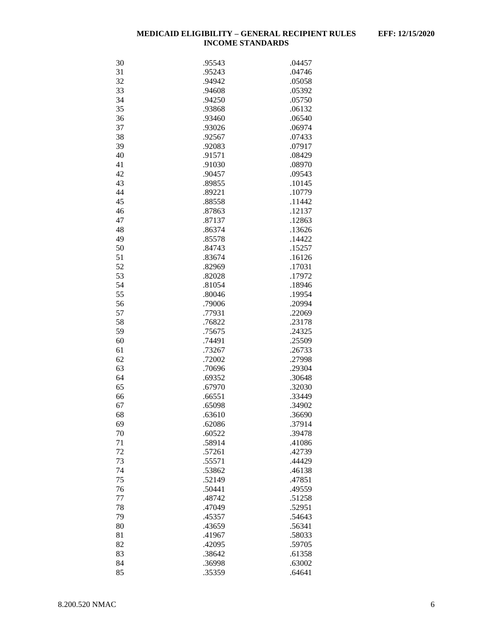| 30 | .95543 | .04457 |
|----|--------|--------|
| 31 | .95243 | .04746 |
| 32 | .94942 | .05058 |
| 33 | .94608 | .05392 |
| 34 | .94250 | .05750 |
| 35 | .93868 | .06132 |
| 36 | .93460 | .06540 |
| 37 | .93026 | .06974 |
| 38 |        |        |
|    | .92567 | .07433 |
| 39 | .92083 | .07917 |
| 40 | .91571 | .08429 |
| 41 | .91030 | .08970 |
| 42 | .90457 | .09543 |
| 43 | .89855 | .10145 |
| 44 | .89221 | .10779 |
| 45 | .88558 | .11442 |
| 46 | .87863 | .12137 |
| 47 | .87137 | .12863 |
| 48 | .86374 | .13626 |
| 49 | .85578 | .14422 |
| 50 | .84743 | .15257 |
| 51 | .83674 | .16126 |
| 52 | .82969 | .17031 |
| 53 | .82028 | .17972 |
| 54 | .81054 | .18946 |
| 55 | .80046 | .19954 |
| 56 | .79006 | .20994 |
| 57 | .77931 | .22069 |
|    |        |        |
| 58 | .76822 | .23178 |
| 59 | .75675 | .24325 |
| 60 | .74491 | .25509 |
| 61 | .73267 | .26733 |
| 62 | .72002 | .27998 |
| 63 | .70696 | .29304 |
| 64 | .69352 | .30648 |
| 65 | .67970 | .32030 |
| 66 | .66551 | .33449 |
| 67 | .65098 | .34902 |
| 68 | .63610 | .36690 |
| 69 | .62086 | .37914 |
| 70 | .60522 | .39478 |
| 71 | .58914 | .41086 |
| 72 | .57261 | .42739 |
| 73 | .55571 | .44429 |
| 74 | .53862 | .46138 |
| 75 | .52149 | .47851 |
| 76 | .50441 | .49559 |
| 77 | .48742 | .51258 |
| 78 | .47049 | .52951 |
|    |        | .54643 |
| 79 | .45357 |        |
| 80 | .43659 | .56341 |
| 81 | .41967 | .58033 |
| 82 | .42095 | .59705 |
| 83 | .38642 | .61358 |
| 84 | .36998 | .63002 |
| 85 | .35359 | .64641 |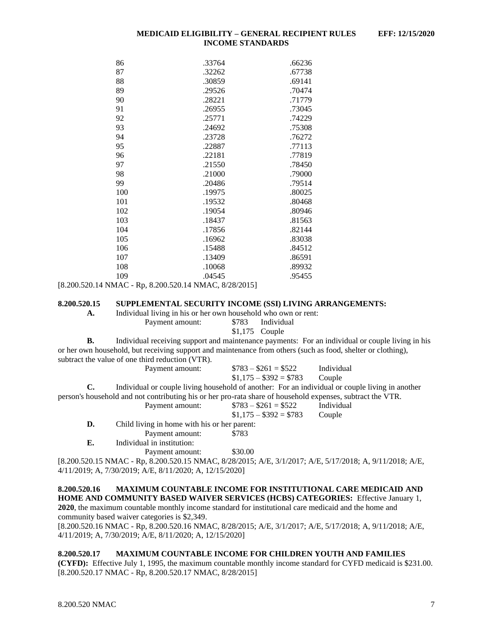| 86  | .33764 | .66236 |
|-----|--------|--------|
| 87  | .32262 | .67738 |
| 88  | .30859 | .69141 |
| 89  | .29526 | .70474 |
| 90  | .28221 | .71779 |
| 91  | .26955 | .73045 |
| 92  | .25771 | .74229 |
| 93  | .24692 | .75308 |
| 94  | .23728 | .76272 |
| 95  | .22887 | .77113 |
| 96  | .22181 | .77819 |
| 97  | .21550 | .78450 |
| 98  | .21000 | .79000 |
| 99  | .20486 | .79514 |
| 100 | .19975 | .80025 |
| 101 | .19532 | .80468 |
| 102 | .19054 | .80946 |
| 103 | .18437 | .81563 |
| 104 | .17856 | .82144 |
| 105 | .16962 | .83038 |
| 106 | .15488 | .84512 |
| 107 | .13409 | .86591 |
| 108 | .10068 | .89932 |
| 109 | .04545 | .95455 |

[8.200.520.14 NMAC - Rp, 8.200.520.14 NMAC, 8/28/2015]

#### <span id="page-7-0"></span>**8.200.520.15 SUPPLEMENTAL SECURITY INCOME (SSI) LIVING ARRANGEMENTS:**

**A.** Individual living in his or her own household who own or rent: Payment amount: \$783 Individual \$1,175 Couple

**B.** Individual receiving support and maintenance payments: For an individual or couple living in his or her own household, but receiving support and maintenance from others (such as food, shelter or clothing), subtract the value of one third reduction (VTR). Payment amount:  $$783 - $261 = $522$  Individual

|    |                                                                                                            | $$1,175 - $392 = $783$ Couple |                                                                                                 |
|----|------------------------------------------------------------------------------------------------------------|-------------------------------|-------------------------------------------------------------------------------------------------|
| C. |                                                                                                            |                               | Individual or couple living household of another: For an individual or couple living in another |
|    | person's household and not contributing his or her pro-rata share of household expenses, subtract the VTR. |                               |                                                                                                 |
|    | Payment amount:                                                                                            | $\$783 - \$261 = \$522$       | Individual                                                                                      |
|    |                                                                                                            | $$1.175 - $392 = $783$        | Couple                                                                                          |
| D. | Child living in home with his or her parent:                                                               |                               |                                                                                                 |
|    | Payment amount:                                                                                            | \$783                         |                                                                                                 |
| Е. | Individual in institution:                                                                                 |                               |                                                                                                 |
|    | Payment amount:                                                                                            | \$30.00                       |                                                                                                 |

[8.200.520.15 NMAC - Rp, 8.200.520.15 NMAC, 8/28/2015; A/E, 3/1/2017; A/E, 5/17/2018; A, 9/11/2018; A/E, 4/11/2019; A, 7/30/2019; A/E, 8/11/2020; A, 12/15/2020]

<span id="page-7-1"></span>**8.200.520.16 MAXIMUM COUNTABLE INCOME FOR INSTITUTIONAL CARE MEDICAID AND HOME AND COMMUNITY BASED WAIVER SERVICES (HCBS) CATEGORIES:** Effective January 1, **2020**, the maximum countable monthly income standard for institutional care medicaid and the home and community based waiver categories is \$2,349. [8.200.520.16 NMAC - Rp, 8.200.520.16 NMAC, 8/28/2015; A/E, 3/1/2017; A/E, 5/17/2018; A, 9/11/2018; A/E,

4/11/2019; A, 7/30/2019; A/E, 8/11/2020; A, 12/15/2020]

# <span id="page-7-2"></span>**8.200.520.17 MAXIMUM COUNTABLE INCOME FOR CHILDREN YOUTH AND FAMILIES**

**(CYFD):** Effective July 1, 1995, the maximum countable monthly income standard for CYFD medicaid is \$231.00. [8.200.520.17 NMAC - Rp, 8.200.520.17 NMAC, 8/28/2015]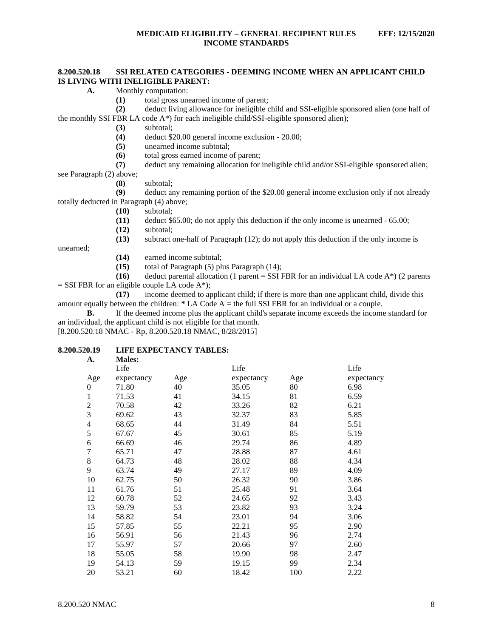# <span id="page-8-0"></span>**8.200.520.18 SSI RELATED CATEGORIES - DEEMING INCOME WHEN AN APPLICANT CHILD IS LIVING WITH INELIGIBLE PARENT:**

- **A.** Monthly computation:
	- **(1)** total gross unearned income of parent;

**(2)** deduct living allowance for ineligible child and SSI-eligible sponsored alien (one half of the monthly SSI FBR LA code  $A^*$ ) for each ineligible child/SSI-eligible sponsored alien);

- **(3)** subtotal;
- **(4)** deduct \$20.00 general income exclusion 20.00;
- **(5)** unearned income subtotal;
- **(6)** total gross earned income of parent;

**(7)** deduct any remaining allocation for ineligible child and/or SSI-eligible sponsored alien; see Paragraph (2) above;

**(8)** subtotal;

**(9)** deduct any remaining portion of the \$20.00 general income exclusion only if not already totally deducted in Paragraph (4) above;

- **(10)** subtotal;
- **(11)** deduct \$65.00; do not apply this deduction if the only income is unearned 65.00;
- **(12)** subtotal;

**(13)** subtract one-half of Paragraph (12); do not apply this deduction if the only income is

unearned;

- **(14)** earned income subtotal;
- **(15)** total of Paragraph (5) plus Paragraph (14);

**(16)** deduct parental allocation (1 parent = SSI FBR for an individual LA code  $A^*$ ) (2 parents  $=$  SSI FBR for an eligible couple LA code A\*);

**(17)** income deemed to applicant child; if there is more than one applicant child, divide this amount equally between the children: **\*** LA Code A = the full SSI FBR for an individual or a couple.

**B.** If the deemed income plus the applicant child's separate income exceeds the income standard for an individual, the applicant child is not eligible for that month.

[8.200.520.18 NMAC - Rp, 8.200.520.18 NMAC, 8/28/2015]

# <span id="page-8-1"></span>**8.200.520.19 LIFE EXPECTANCY TABLES:**

| A. | <b>Males:</b> |
|----|---------------|
|    |               |

| .              | мингэ.     |     |            |     |            |
|----------------|------------|-----|------------|-----|------------|
|                | Life       |     | Life       |     | Life       |
| Age            | expectancy | Age | expectancy | Age | expectancy |
| $\theta$       | 71.80      | 40  | 35.05      | 80  | 6.98       |
| 1              | 71.53      | 41  | 34.15      | 81  | 6.59       |
| $\overline{c}$ | 70.58      | 42  | 33.26      | 82  | 6.21       |
| 3              | 69.62      | 43  | 32.37      | 83  | 5.85       |
| 4              | 68.65      | 44  | 31.49      | 84  | 5.51       |
| 5              | 67.67      | 45  | 30.61      | 85  | 5.19       |
| 6              | 66.69      | 46  | 29.74      | 86  | 4.89       |
| $\overline{7}$ | 65.71      | 47  | 28.88      | 87  | 4.61       |
| 8              | 64.73      | 48  | 28.02      | 88  | 4.34       |
| 9              | 63.74      | 49  | 27.17      | 89  | 4.09       |
| 10             | 62.75      | 50  | 26.32      | 90  | 3.86       |
| 11             | 61.76      | 51  | 25.48      | 91  | 3.64       |
| 12             | 60.78      | 52  | 24.65      | 92  | 3.43       |
| 13             | 59.79      | 53  | 23.82      | 93  | 3.24       |
| 14             | 58.82      | 54  | 23.01      | 94  | 3.06       |
| 15             | 57.85      | 55  | 22.21      | 95  | 2.90       |
| 16             | 56.91      | 56  | 21.43      | 96  | 2.74       |
| 17             | 55.97      | 57  | 20.66      | 97  | 2.60       |
| 18             | 55.05      | 58  | 19.90      | 98  | 2.47       |
| 19             | 54.13      | 59  | 19.15      | 99  | 2.34       |
| 20             | 53.21      | 60  | 18.42      | 100 | 2.22       |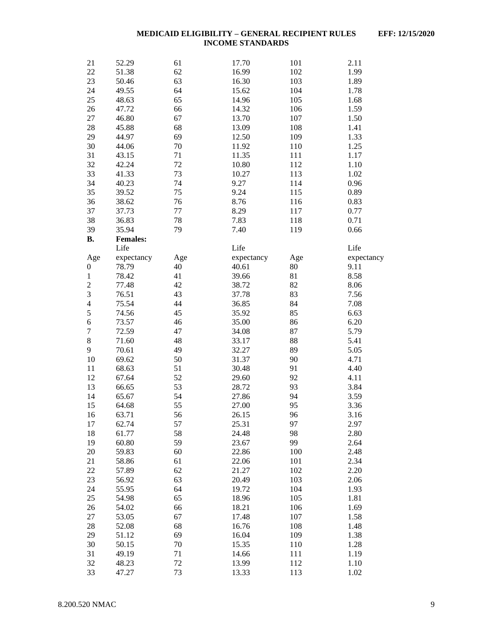| 21               | 52.29           | 61  | 17.70      | 101 | 2.11       |
|------------------|-----------------|-----|------------|-----|------------|
| 22               | 51.38           | 62  | 16.99      | 102 | 1.99       |
| 23               | 50.46           | 63  | 16.30      | 103 | 1.89       |
| 24               | 49.55           | 64  | 15.62      | 104 | 1.78       |
| 25               | 48.63           | 65  | 14.96      | 105 | 1.68       |
| 26               | 47.72           | 66  | 14.32      | 106 | 1.59       |
| 27               | 46.80           | 67  | 13.70      | 107 | 1.50       |
| 28               | 45.88           | 68  | 13.09      | 108 | 1.41       |
| 29               | 44.97           | 69  | 12.50      | 109 | 1.33       |
| 30               | 44.06           | 70  | 11.92      | 110 | 1.25       |
| 31               | 43.15           | 71  | 11.35      | 111 | 1.17       |
| 32               | 42.24           | 72  | 10.80      | 112 | 1.10       |
| 33               | 41.33           | 73  | 10.27      | 113 | 1.02       |
| 34               | 40.23           | 74  | 9.27       | 114 | 0.96       |
| 35               | 39.52           | 75  | 9.24       | 115 | 0.89       |
| 36               | 38.62           | 76  | 8.76       | 116 | 0.83       |
| 37               |                 |     |            |     |            |
|                  | 37.73           | 77  | 8.29       | 117 | 0.77       |
| 38               | 36.83           | 78  | 7.83       | 118 | 0.71       |
| 39               | 35.94           | 79  | 7.40       | 119 | 0.66       |
| <b>B.</b>        | <b>Females:</b> |     |            |     |            |
|                  | Life            |     | Life       |     | Life       |
| Age              | expectancy      | Age | expectancy | Age | expectancy |
| $\boldsymbol{0}$ | 78.79           | 40  | 40.61      | 80  | 9.11       |
| $\mathbf{1}$     | 78.42           | 41  | 39.66      | 81  | 8.58       |
| $\overline{c}$   | 77.48           | 42  | 38.72      | 82  | 8.06       |
| 3                | 76.51           | 43  | 37.78      | 83  | 7.56       |
| $\overline{4}$   | 75.54           | 44  | 36.85      | 84  | 7.08       |
| 5                | 74.56           | 45  | 35.92      | 85  | 6.63       |
| 6                | 73.57           | 46  | 35.00      | 86  | 6.20       |
| $\overline{7}$   | 72.59           | 47  | 34.08      | 87  | 5.79       |
| $\,8$            | 71.60           | 48  | 33.17      | 88  | 5.41       |
| 9                | 70.61           | 49  | 32.27      | 89  | 5.05       |
| 10               | 69.62           | 50  | 31.37      | 90  | 4.71       |
| 11               | 68.63           | 51  | 30.48      | 91  | 4.40       |
| 12               | 67.64           | 52  | 29.60      | 92  | 4.11       |
| 13               | 66.65           | 53  | 28.72      | 93  | 3.84       |
| 14               | 65.67           | 54  | 27.86      | 94  | 3.59       |
| 15               | 64.68           | 55  | 27.00      | 95  | 3.36       |
| 16               | 63.71           | 56  | 26.15      | 96  | 3.16       |
| 17               | 62.74           | 57  | 25.31      | 97  | 2.97       |
| 18               | 61.77           | 58  | 24.48      | 98  | 2.80       |
| 19               | 60.80           | 59  | 23.67      | 99  | 2.64       |
| 20               | 59.83           | 60  | 22.86      | 100 | 2.48       |
| 21               | 58.86           | 61  | 22.06      | 101 | 2.34       |
| 22               | 57.89           | 62  | 21.27      | 102 | 2.20       |
| 23               | 56.92           | 63  | 20.49      | 103 | 2.06       |
| 24               | 55.95           | 64  | 19.72      | 104 | 1.93       |
| 25               | 54.98           | 65  | 18.96      | 105 | 1.81       |
| 26               | 54.02           | 66  | 18.21      | 106 | 1.69       |
|                  |                 |     | 17.48      |     | 1.58       |
| 27               | 53.05           | 67  |            | 107 |            |
| 28               | 52.08           | 68  | 16.76      | 108 | 1.48       |
| 29               | 51.12           | 69  | 16.04      | 109 | 1.38       |
| 30               | 50.15           | 70  | 15.35      | 110 | 1.28       |
| 31               | 49.19           | 71  | 14.66      | 111 | 1.19       |
| 32               | 48.23           | 72  | 13.99      | 112 | 1.10       |
| 33               | 47.27           | 73  | 13.33      | 113 | 1.02       |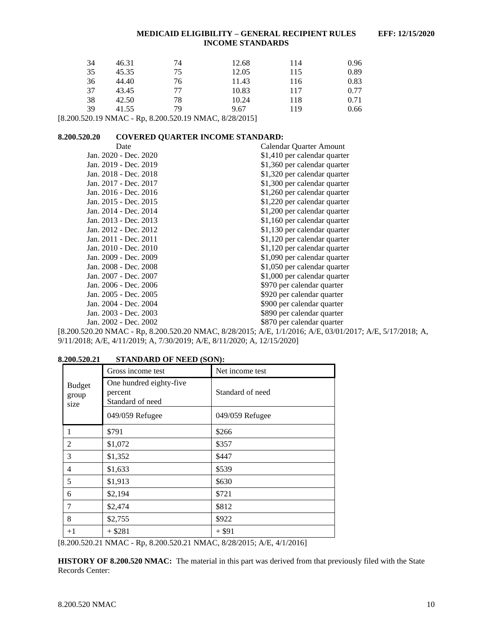| 34 | 46.31 | 74 | 12.68 | 114 | 0.96 |
|----|-------|----|-------|-----|------|
| 35 | 45.35 | 75 | 12.05 | 115 | 0.89 |
| 36 | 44.40 | 76 | 11.43 | 116 | 0.83 |
| 37 | 43.45 | 77 | 10.83 | 117 | 0.77 |
| 38 | 42.50 | 78 | 10.24 | 118 | 0.71 |
| 39 | 41.55 | 79 | 9.67  | 119 | 0.66 |

[8.200.520.19 NMAC - Rp, 8.200.520.19 NMAC, 8/28/2015]

### <span id="page-10-0"></span>**8.200.520.20 COVERED QUARTER INCOME STANDARD:**

| Date                  | Calendar Quarter Amount      |
|-----------------------|------------------------------|
| Jan. 2020 - Dec. 2020 | \$1,410 per calendar quarter |
| Jan. 2019 - Dec. 2019 | \$1,360 per calendar quarter |
| Jan. 2018 - Dec. 2018 | \$1,320 per calendar quarter |
| Jan. 2017 - Dec. 2017 | \$1,300 per calendar quarter |
| Jan. 2016 - Dec. 2016 | \$1,260 per calendar quarter |
| Jan. 2015 - Dec. 2015 | \$1,220 per calendar quarter |
| Jan. 2014 - Dec. 2014 | \$1,200 per calendar quarter |
| Jan. 2013 - Dec. 2013 | \$1,160 per calendar quarter |
| Jan. 2012 - Dec. 2012 | \$1,130 per calendar quarter |
| Jan. 2011 - Dec. 2011 | \$1,120 per calendar quarter |
| Jan. 2010 - Dec. 2010 | \$1,120 per calendar quarter |
| Jan. 2009 - Dec. 2009 | \$1,090 per calendar quarter |
| Jan. 2008 - Dec. 2008 | \$1,050 per calendar quarter |
| Jan. 2007 - Dec. 2007 | \$1,000 per calendar quarter |
| Jan. 2006 - Dec. 2006 | \$970 per calendar quarter   |
| Jan. 2005 - Dec. 2005 | \$920 per calendar quarter   |
| Jan. 2004 - Dec. 2004 | \$900 per calendar quarter   |
| Jan. 2003 - Dec. 2003 | \$890 per calendar quarter   |
| Jan. 2002 - Dec. 2002 | \$870 per calendar quarter   |
|                       |                              |

[8.200.520.20 NMAC - Rp, 8.200.520.20 NMAC, 8/28/2015; A/E, 1/1/2016; A/E, 03/01/2017; A/E, 5/17/2018; A, 9/11/2018; A/E, 4/11/2019; A, 7/30/2019; A/E, 8/11/2020; A, 12/15/2020]

<span id="page-10-1"></span>

| 8.200.520.21                   | <b>STANDARD OF NEED (SON):</b>                         |                  |
|--------------------------------|--------------------------------------------------------|------------------|
|                                | Gross income test                                      | Net income test  |
| <b>Budget</b><br>group<br>size | One hundred eighty-five<br>percent<br>Standard of need | Standard of need |
|                                | 049/059 Refugee                                        | 049/059 Refugee  |
|                                | \$791                                                  | \$266            |
| 2                              | \$1,072                                                | \$357            |
| 3                              | \$1,352                                                | \$447            |
| 4                              | \$1,633                                                | \$539            |
| 5                              | \$1,913                                                | \$630            |
| 6                              | \$2,194                                                | \$721            |
| 7                              | \$2,474                                                | \$812            |
| 8                              | \$2,755                                                | \$922            |
| $+1$                           | $+$ \$281                                              | $+$ \$91         |

[8.200.520.21 NMAC - Rp, 8.200.520.21 NMAC, 8/28/2015; A/E, 4/1/2016]

**HISTORY OF 8.200.520 NMAC:** The material in this part was derived from that previously filed with the State Records Center: